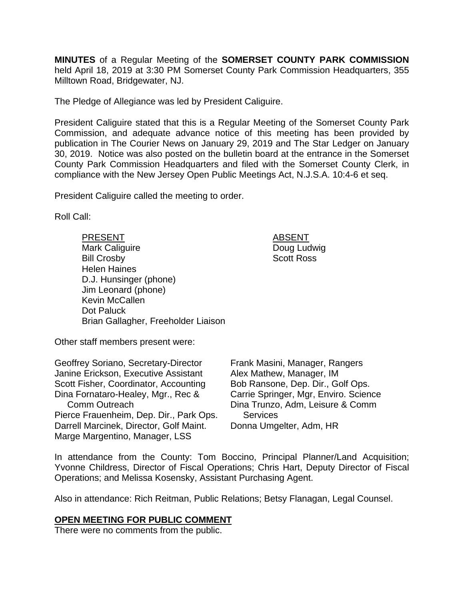**MINUTES** of a Regular Meeting of the **SOMERSET COUNTY PARK COMMISSION** held April 18, 2019 at 3:30 PM Somerset County Park Commission Headquarters, 355 Milltown Road, Bridgewater, NJ.

The Pledge of Allegiance was led by President Caliguire.

President Caliguire stated that this is a Regular Meeting of the Somerset County Park Commission, and adequate advance notice of this meeting has been provided by publication in The Courier News on January 29, 2019 and The Star Ledger on January 30, 2019. Notice was also posted on the bulletin board at the entrance in the Somerset County Park Commission Headquarters and filed with the Somerset County Clerk, in compliance with the New Jersey Open Public Meetings Act, N.J.S.A. 10:4-6 et seq.

President Caliguire called the meeting to order.

Roll Call:

PRESENT ABSENT Mark Caliguire **Doug Ludwig** Bill Crosby Scott Ross Helen Haines D.J. Hunsinger (phone) Jim Leonard (phone) Kevin McCallen Dot Paluck Brian Gallagher, Freeholder Liaison

Other staff members present were:

Geoffrey Soriano, Secretary-Director Janine Erickson, Executive Assistant Scott Fisher, Coordinator, Accounting Dina Fornataro-Healey, Mgr., Rec & Comm Outreach Pierce Frauenheim, Dep. Dir., Park Ops. Darrell Marcinek, Director, Golf Maint. Marge Margentino, Manager, LSS

Frank Masini, Manager, Rangers Alex Mathew, Manager, IM Bob Ransone, Dep. Dir., Golf Ops. Carrie Springer, Mgr, Enviro. Science Dina Trunzo, Adm, Leisure & Comm **Services** Donna Umgelter, Adm, HR

In attendance from the County: Tom Boccino, Principal Planner/Land Acquisition; Yvonne Childress, Director of Fiscal Operations; Chris Hart, Deputy Director of Fiscal Operations; and Melissa Kosensky, Assistant Purchasing Agent.

Also in attendance: Rich Reitman, Public Relations; Betsy Flanagan, Legal Counsel.

#### **OPEN MEETING FOR PUBLIC COMMENT**

There were no comments from the public.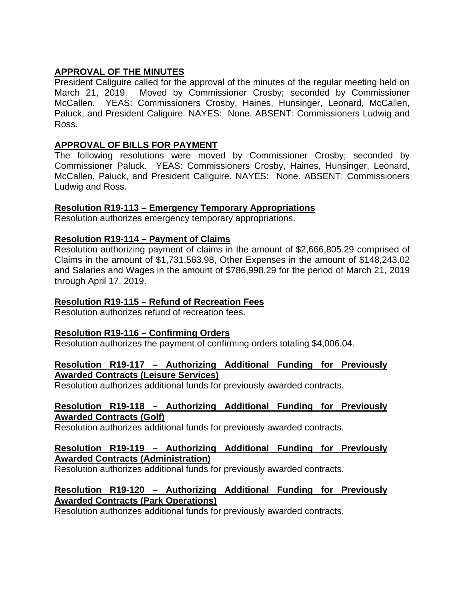# **APPROVAL OF THE MINUTES**

President Caliguire called for the approval of the minutes of the regular meeting held on March 21, 2019. Moved by Commissioner Crosby; seconded by Commissioner McCallen. YEAS: Commissioners Crosby, Haines, Hunsinger, Leonard, McCallen, Paluck, and President Caliguire. NAYES: None. ABSENT: Commissioners Ludwig and Ross.

# **APPROVAL OF BILLS FOR PAYMENT**

The following resolutions were moved by Commissioner Crosby; seconded by Commissioner Paluck. YEAS: Commissioners Crosby, Haines, Hunsinger, Leonard, McCallen, Paluck, and President Caliguire. NAYES: None. ABSENT: Commissioners Ludwig and Ross.

# **Resolution R19-113 – Emergency Temporary Appropriations**

Resolution authorizes emergency temporary appropriations.

# **Resolution R19-114 – Payment of Claims**

Resolution authorizing payment of claims in the amount of \$2,666,805.29 comprised of Claims in the amount of \$1,731,563.98, Other Expenses in the amount of \$148,243.02 and Salaries and Wages in the amount of \$786,998.29 for the period of March 21, 2019 through April 17, 2019.

### **Resolution R19-115 – Refund of Recreation Fees**

Resolution authorizes refund of recreation fees.

# **Resolution R19-116 – Confirming Orders**

Resolution authorizes the payment of confirming orders totaling \$4,006.04.

#### **Resolution R19-117 – Authorizing Additional Funding for Previously Awarded Contracts (Leisure Services)**

Resolution authorizes additional funds for previously awarded contracts.

#### **Resolution R19-118 – Authorizing Additional Funding for Previously Awarded Contracts (Golf)**

Resolution authorizes additional funds for previously awarded contracts.

#### **Resolution R19-119 – Authorizing Additional Funding for Previously Awarded Contracts (Administration)**

Resolution authorizes additional funds for previously awarded contracts.

### **Resolution R19-120 – Authorizing Additional Funding for Previously Awarded Contracts (Park Operations)**

Resolution authorizes additional funds for previously awarded contracts.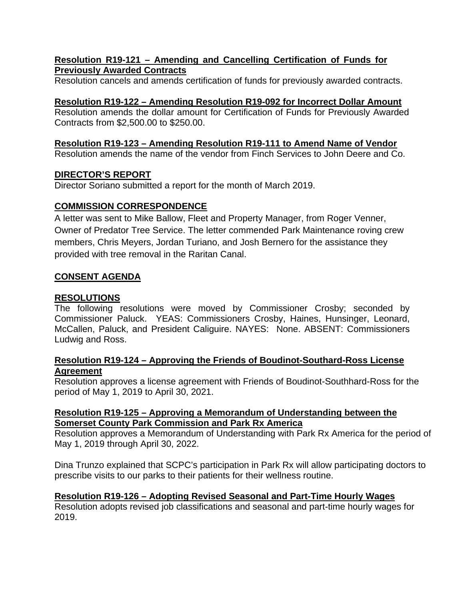### **Resolution R19-121 – Amending and Cancelling Certification of Funds for Previously Awarded Contracts**

Resolution cancels and amends certification of funds for previously awarded contracts.

# **Resolution R19-122 – Amending Resolution R19-092 for Incorrect Dollar Amount**

Resolution amends the dollar amount for Certification of Funds for Previously Awarded Contracts from \$2,500.00 to \$250.00.

# **Resolution R19-123 – Amending Resolution R19-111 to Amend Name of Vendor**

Resolution amends the name of the vendor from Finch Services to John Deere and Co.

### **DIRECTOR'S REPORT**

Director Soriano submitted a report for the month of March 2019.

# **COMMISSION CORRESPONDENCE**

A letter was sent to Mike Ballow, Fleet and Property Manager, from Roger Venner, Owner of Predator Tree Service. The letter commended Park Maintenance roving crew members, Chris Meyers, Jordan Turiano, and Josh Bernero for the assistance they provided with tree removal in the Raritan Canal.

### **CONSENT AGENDA**

# **RESOLUTIONS**

The following resolutions were moved by Commissioner Crosby; seconded by Commissioner Paluck. YEAS: Commissioners Crosby, Haines, Hunsinger, Leonard, McCallen, Paluck, and President Caliguire. NAYES: None. ABSENT: Commissioners Ludwig and Ross.

#### **Resolution R19-124 – Approving the Friends of Boudinot-Southard-Ross License Agreement**

Resolution approves a license agreement with Friends of Boudinot-Southhard-Ross for the period of May 1, 2019 to April 30, 2021.

### **Resolution R19-125 – Approving a Memorandum of Understanding between the Somerset County Park Commission and Park Rx America**

Resolution approves a Memorandum of Understanding with Park Rx America for the period of May 1, 2019 through April 30, 2022.

Dina Trunzo explained that SCPC's participation in Park Rx will allow participating doctors to prescribe visits to our parks to their patients for their wellness routine.

#### **Resolution R19-126 – Adopting Revised Seasonal and Part-Time Hourly Wages**

Resolution adopts revised job classifications and seasonal and part-time hourly wages for 2019.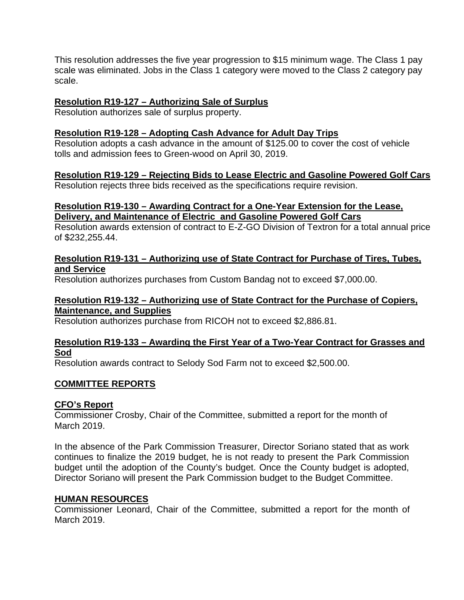This resolution addresses the five year progression to \$15 minimum wage. The Class 1 pay scale was eliminated. Jobs in the Class 1 category were moved to the Class 2 category pay scale.

### **Resolution R19-127 – Authorizing Sale of Surplus**

Resolution authorizes sale of surplus property.

### **Resolution R19-128 – Adopting Cash Advance for Adult Day Trips**

Resolution adopts a cash advance in the amount of \$125.00 to cover the cost of vehicle tolls and admission fees to Green-wood on April 30, 2019.

### **Resolution R19-129 – Rejecting Bids to Lease Electric and Gasoline Powered Golf Cars**

Resolution rejects three bids received as the specifications require revision.

### **Resolution R19-130 – Awarding Contract for a One-Year Extension for the Lease, Delivery, and Maintenance of Electric and Gasoline Powered Golf Cars**

Resolution awards extension of contract to E-Z-GO Division of Textron for a total annual price of \$232,255.44.

### **Resolution R19-131 – Authorizing use of State Contract for Purchase of Tires, Tubes, and Service**

Resolution authorizes purchases from Custom Bandag not to exceed \$7,000.00.

#### **Resolution R19-132 – Authorizing use of State Contract for the Purchase of Copiers, Maintenance, and Supplies**

Resolution authorizes purchase from RICOH not to exceed \$2,886.81.

#### **Resolution R19-133 – Awarding the First Year of a Two-Year Contract for Grasses and Sod**

Resolution awards contract to Selody Sod Farm not to exceed \$2,500.00.

#### **COMMITTEE REPORTS**

#### **CFO's Report**

Commissioner Crosby, Chair of the Committee, submitted a report for the month of March 2019.

In the absence of the Park Commission Treasurer, Director Soriano stated that as work continues to finalize the 2019 budget, he is not ready to present the Park Commission budget until the adoption of the County's budget. Once the County budget is adopted, Director Soriano will present the Park Commission budget to the Budget Committee.

#### **HUMAN RESOURCES**

Commissioner Leonard, Chair of the Committee, submitted a report for the month of March 2019.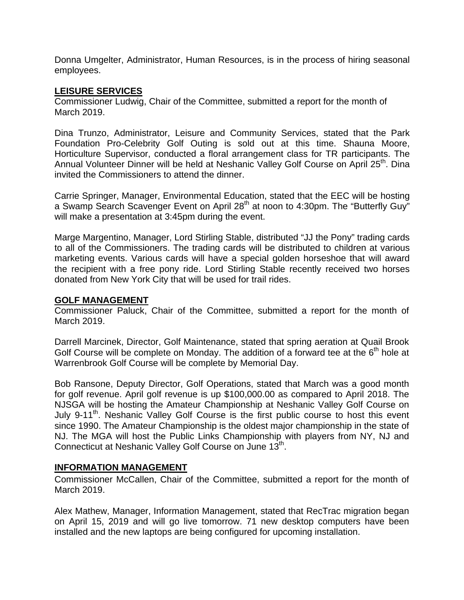Donna Umgelter, Administrator, Human Resources, is in the process of hiring seasonal employees.

#### **LEISURE SERVICES**

Commissioner Ludwig, Chair of the Committee, submitted a report for the month of March 2019.

Dina Trunzo, Administrator, Leisure and Community Services, stated that the Park Foundation Pro-Celebrity Golf Outing is sold out at this time. Shauna Moore, Horticulture Supervisor, conducted a floral arrangement class for TR participants. The Annual Volunteer Dinner will be held at Neshanic Valley Golf Course on April 25<sup>th</sup>. Dina invited the Commissioners to attend the dinner.

Carrie Springer, Manager, Environmental Education, stated that the EEC will be hosting a Swamp Search Scavenger Event on April 28<sup>th</sup> at noon to 4:30pm. The "Butterfly Guy" will make a presentation at 3:45pm during the event.

Marge Margentino, Manager, Lord Stirling Stable, distributed "JJ the Pony" trading cards to all of the Commissioners. The trading cards will be distributed to children at various marketing events. Various cards will have a special golden horseshoe that will award the recipient with a free pony ride. Lord Stirling Stable recently received two horses donated from New York City that will be used for trail rides.

#### **GOLF MANAGEMENT**

Commissioner Paluck, Chair of the Committee, submitted a report for the month of March 2019.

Darrell Marcinek, Director, Golf Maintenance, stated that spring aeration at Quail Brook Golf Course will be complete on Monday. The addition of a forward tee at the  $6<sup>th</sup>$  hole at Warrenbrook Golf Course will be complete by Memorial Day.

Bob Ransone, Deputy Director, Golf Operations, stated that March was a good month for golf revenue. April golf revenue is up \$100,000.00 as compared to April 2018. The NJSGA will be hosting the Amateur Championship at Neshanic Valley Golf Course on July 9-11<sup>th</sup>. Neshanic Valley Golf Course is the first public course to host this event since 1990. The Amateur Championship is the oldest major championship in the state of NJ. The MGA will host the Public Links Championship with players from NY, NJ and Connecticut at Neshanic Valley Golf Course on June 13<sup>th</sup>.

#### **INFORMATION MANAGEMENT**

Commissioner McCallen, Chair of the Committee, submitted a report for the month of March 2019.

Alex Mathew, Manager, Information Management, stated that RecTrac migration began on April 15, 2019 and will go live tomorrow. 71 new desktop computers have been installed and the new laptops are being configured for upcoming installation.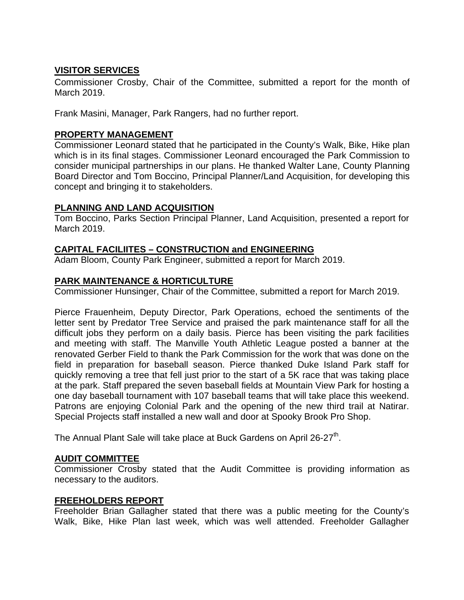# **VISITOR SERVICES**

Commissioner Crosby, Chair of the Committee, submitted a report for the month of March 2019.

Frank Masini, Manager, Park Rangers, had no further report.

### **PROPERTY MANAGEMENT**

Commissioner Leonard stated that he participated in the County's Walk, Bike, Hike plan which is in its final stages. Commissioner Leonard encouraged the Park Commission to consider municipal partnerships in our plans. He thanked Walter Lane, County Planning Board Director and Tom Boccino, Principal Planner/Land Acquisition, for developing this concept and bringing it to stakeholders.

### **PLANNING AND LAND ACQUISITION**

Tom Boccino, Parks Section Principal Planner, Land Acquisition, presented a report for March 2019.

### **CAPITAL FACILIITES – CONSTRUCTION and ENGINEERING**

Adam Bloom, County Park Engineer, submitted a report for March 2019.

#### **PARK MAINTENANCE & HORTICULTURE**

Commissioner Hunsinger, Chair of the Committee, submitted a report for March 2019.

Pierce Frauenheim, Deputy Director, Park Operations, echoed the sentiments of the letter sent by Predator Tree Service and praised the park maintenance staff for all the difficult jobs they perform on a daily basis. Pierce has been visiting the park facilities and meeting with staff. The Manville Youth Athletic League posted a banner at the renovated Gerber Field to thank the Park Commission for the work that was done on the field in preparation for baseball season. Pierce thanked Duke Island Park staff for quickly removing a tree that fell just prior to the start of a 5K race that was taking place at the park. Staff prepared the seven baseball fields at Mountain View Park for hosting a one day baseball tournament with 107 baseball teams that will take place this weekend. Patrons are enjoying Colonial Park and the opening of the new third trail at Natirar. Special Projects staff installed a new wall and door at Spooky Brook Pro Shop.

The Annual Plant Sale will take place at Buck Gardens on April 26-27<sup>th</sup>.

#### **AUDIT COMMITTEE**

Commissioner Crosby stated that the Audit Committee is providing information as necessary to the auditors.

#### **FREEHOLDERS REPORT**

Freeholder Brian Gallagher stated that there was a public meeting for the County's Walk, Bike, Hike Plan last week, which was well attended. Freeholder Gallagher